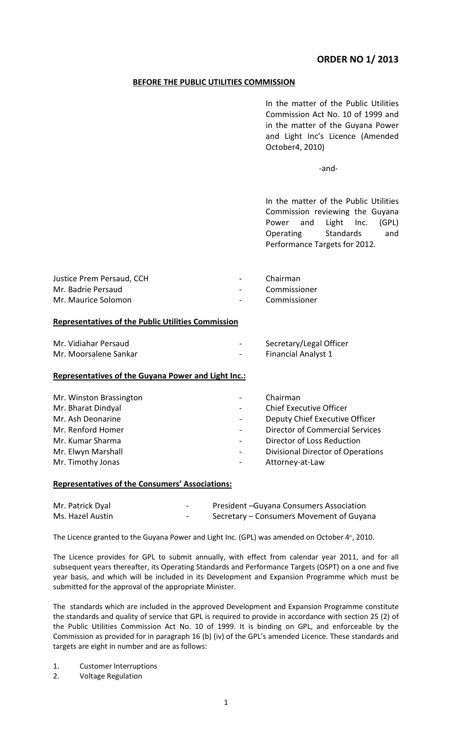# **ORDER NO 1/ 2013**

# **BEFORE THE PUBLIC UTILITIES COMMISSION**

In the matter of the Public Utilities Commission Act No. 10 of 1999 and in the matter of the Guyana Power and Light Inc's Licence (Amended October4, 2010)

-and-

In the matter of the Public Utilities Commission reviewing the Guyana Power and Light Inc. (GPL) Operating Standards and Performance Targets for 2012.

| Justice Prem Persaud, CCH | $\sim$ 10 $\pm$          | Chairman     |
|---------------------------|--------------------------|--------------|
| Mr. Badrie Persaud        | <b>Contract Contract</b> | Commissioner |
| Mr. Maurice Solomon       | $\sim 100$               | Commissioner |

# **Representatives of the Public Utilities Commission**

| Mr. Vidiahar Persaud  |        | Secretary/Legal Officer |
|-----------------------|--------|-------------------------|
| Mr. Moorsalene Sankar | $\sim$ | Financial Analyst 1     |

# **Representatives of the Guyana Power and Light Inc.:**

| Mr. Winston Brassington |   | Chairman                                 |
|-------------------------|---|------------------------------------------|
| Mr. Bharat Dindyal      |   | <b>Chief Executive Officer</b>           |
| Mr. Ash Deonarine       |   | Deputy Chief Executive Officer           |
| Mr. Renford Homer       |   | <b>Director of Commercial Services</b>   |
| Mr. Kumar Sharma        |   | Director of Loss Reduction               |
| Mr. Elwyn Marshall      | - | <b>Divisional Director of Operations</b> |
| Mr. Timothy Jonas       |   | Attorney-at-Law                          |

# **Representatives of the Consumers' Associations:**

| Mr. Patrick Dyal | -      | President-Guyana Consumers Association   |
|------------------|--------|------------------------------------------|
| Ms. Hazel Austin | $\sim$ | Secretary – Consumers Movement of Guyana |

The Licence granted to the Guyana Power and Light Inc. (GPL) was amended on October 4<sup>th</sup>, 2010.

The Licence provides for GPL to submit annually, with effect from calendar year 2011, and for all subsequent years thereafter, its Operating Standards and Performance Targets (OSPT) on a one and five year basis, and which will be included in its Development and Expansion Programme which must be submitted for the approval of the appropriate Minister.

The standards which are included in the approved Development and Expansion Programme constitute the standards and quality of service that GPL is required to provide in accordance with section 25 (2) of the Public Utilities Commission Act No. 10 of 1999. It is binding on GPL, and enforceable by the Commission as provided for in paragraph 16 (b) (iv) of the GPL's amended Licence. These standards and targets are eight in number and are as follows:

1. Customer Interruptions

2. Voltage Regulation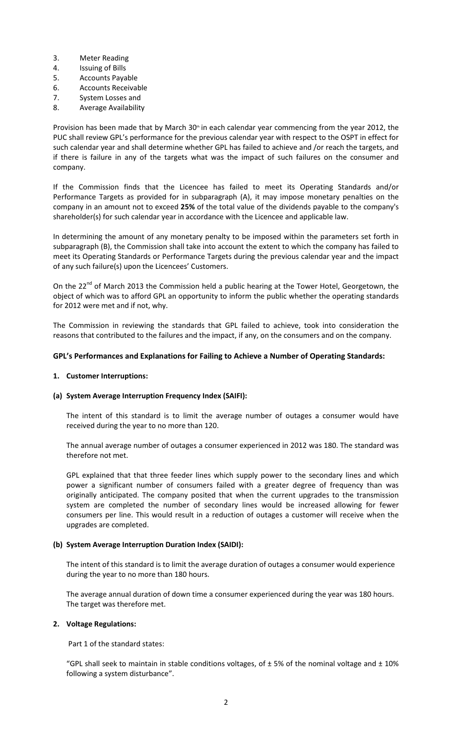- 3. Meter Reading
- 4. Issuing of Bills
- 5. Accounts Payable
- 6. Accounts Receivable
- 7. System Losses and
- 8. Average Availability

Provision has been made that by March  $30<sup>m</sup>$  in each calendar year commencing from the year 2012, the PUC shall review GPL's performance for the previous calendar year with respect to the OSPT in effect for such calendar year and shall determine whether GPL has failed to achieve and /or reach the targets, and if there is failure in any of the targets what was the impact of such failures on the consumer and company.

If the Commission finds that the Licencee has failed to meet its Operating Standards and/or Performance Targets as provided for in subparagraph (A), it may impose monetary penalties on the company in an amount not to exceed **25%** of the total value of the dividends payable to the company's shareholder(s) for such calendar year in accordance with the Licencee and applicable law.

In determining the amount of any monetary penalty to be imposed within the parameters set forth in subparagraph (B), the Commission shall take into account the extent to which the company has failed to meet its Operating Standards or Performance Targets during the previous calendar year and the impact of any such failure(s) upon the Licencees' Customers.

On the 22<sup>nd</sup> of March 2013 the Commission held a public hearing at the Tower Hotel, Georgetown, the object of which was to afford GPL an opportunity to inform the public whether the operating standards for 2012 were met and if not, why.

The Commission in reviewing the standards that GPL failed to achieve, took into consideration the reasons that contributed to the failures and the impact, if any, on the consumers and on the company.

# **GPL's Performances and Explanations for Failing to Achieve a Number of Operating Standards:**

# **1. Customer Interruptions:**

# **(a) System Average Interruption Frequency Index (SAIFI):**

The intent of this standard is to limit the average number of outages a consumer would have received during the year to no more than 120.

The annual average number of outages a consumer experienced in 2012 was 180. The standard was therefore not met.

GPL explained that that three feeder lines which supply power to the secondary lines and which power a significant number of consumers failed with a greater degree of frequency than was originally anticipated. The company posited that when the current upgrades to the transmission system are completed the number of secondary lines would be increased allowing for fewer consumers per line. This would result in a reduction of outages a customer will receive when the upgrades are completed.

# **(b) System Average Interruption Duration Index (SAIDI):**

The intent of this standard is to limit the average duration of outages a consumer would experience during the year to no more than 180 hours.

The average annual duration of down time a consumer experienced during the year was 180 hours. The target was therefore met.

# **2. Voltage Regulations:**

Part 1 of the standard states:

"GPL shall seek to maintain in stable conditions voltages, of  $\pm$  5% of the nominal voltage and  $\pm$  10% following a system disturbance".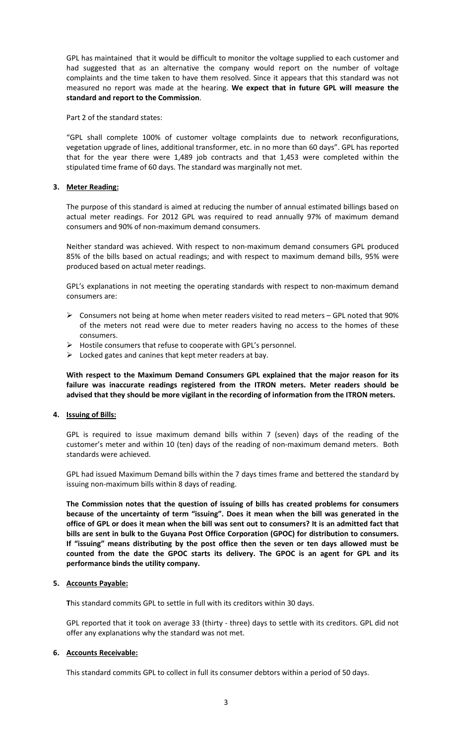GPL has maintained that it would be difficult to monitor the voltage supplied to each customer and had suggested that as an alternative the company would report on the number of voltage complaints and the time taken to have them resolved. Since it appears that this standard was not measured no report was made at the hearing. **We expect that in future GPL will measure the standard and report to the Commission**.

Part 2 of the standard states:

"GPL shall complete 100% of customer voltage complaints due to network reconfigurations, vegetation upgrade of lines, additional transformer, etc. in no more than 60 days". GPL has reported that for the year there were 1,489 job contracts and that 1,453 were completed within the stipulated time frame of 60 days. The standard was marginally not met.

# **3. Meter Reading:**

The purpose of this standard is aimed at reducing the number of annual estimated billings based on actual meter readings. For 2012 GPL was required to read annually 97% of maximum demand consumers and 90% of non-maximum demand consumers.

Neither standard was achieved. With respect to non-maximum demand consumers GPL produced 85% of the bills based on actual readings; and with respect to maximum demand bills, 95% were produced based on actual meter readings.

GPL's explanations in not meeting the operating standards with respect to non-maximum demand consumers are:

- $\triangleright$  Consumers not being at home when meter readers visited to read meters GPL noted that 90% of the meters not read were due to meter readers having no access to the homes of these consumers.
- Hostile consumers that refuse to cooperate with GPL's personnel.
- $\triangleright$  Locked gates and canines that kept meter readers at bay.

**With respect to the Maximum Demand Consumers GPL explained that the major reason for its failure was inaccurate readings registered from the ITRON meters. Meter readers should be advised that they should be more vigilant in the recording of information from the ITRON meters.**

#### **4. Issuing of Bills:**

GPL is required to issue maximum demand bills within 7 (seven) days of the reading of the customer's meter and within 10 (ten) days of the reading of non-maximum demand meters. Both standards were achieved.

GPL had issued Maximum Demand bills within the 7 days times frame and bettered the standard by issuing non-maximum bills within 8 days of reading.

**The Commission notes that the question of issuing of bills has created problems for consumers because of the uncertainty of term "issuing". Does it mean when the bill was generated in the office of GPL or does it mean when the bill was sent out to consumers? It is an admitted fact that bills are sent in bulk to the Guyana Post Office Corporation (GPOC) for distribution to consumers. If "issuing" means distributing by the post office then the seven or ten days allowed must be counted from the date the GPOC starts its delivery. The GPOC is an agent for GPL and its performance binds the utility company.**

# **5. Accounts Payable:**

**T**his standard commits GPL to settle in full with its creditors within 30 days.

GPL reported that it took on average 33 (thirty - three) days to settle with its creditors. GPL did not offer any explanations why the standard was not met.

# **6. Accounts Receivable:**

This standard commits GPL to collect in full its consumer debtors within a period of 50 days.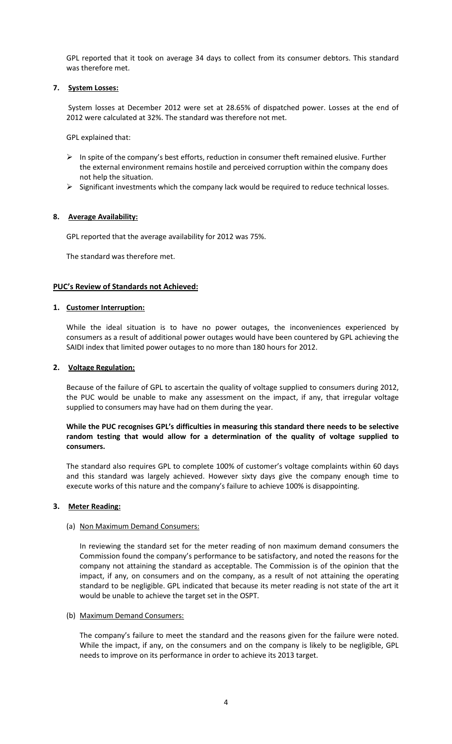GPL reported that it took on average 34 days to collect from its consumer debtors. This standard was therefore met.

# **7. System Losses:**

System losses at December 2012 were set at 28.65% of dispatched power. Losses at the end of 2012 were calculated at 32%. The standard was therefore not met.

GPL explained that:

- $\triangleright$  In spite of the company's best efforts, reduction in consumer theft remained elusive. Further the external environment remains hostile and perceived corruption within the company does not help the situation.
- $\triangleright$  Significant investments which the company lack would be required to reduce technical losses.

# **8. Average Availability:**

GPL reported that the average availability for 2012 was 75%.

The standard was therefore met.

# **PUC's Review of Standards not Achieved:**

# **1. Customer Interruption:**

While the ideal situation is to have no power outages, the inconveniences experienced by consumers as a result of additional power outages would have been countered by GPL achieving the SAIDI index that limited power outages to no more than 180 hours for 2012.

#### **2. Voltage Regulation:**

Because of the failure of GPL to ascertain the quality of voltage supplied to consumers during 2012, the PUC would be unable to make any assessment on the impact, if any, that irregular voltage supplied to consumers may have had on them during the year.

# **While the PUC recognises GPL's difficulties in measuring this standard there needs to be selective random testing that would allow for a determination of the quality of voltage supplied to consumers.**

The standard also requires GPL to complete 100% of customer's voltage complaints within 60 days and this standard was largely achieved. However sixty days give the company enough time to execute works of this nature and the company's failure to achieve 100% is disappointing.

# **3. Meter Reading:**

# (a) Non Maximum Demand Consumers:

In reviewing the standard set for the meter reading of non maximum demand consumers the Commission found the company's performance to be satisfactory, and noted the reasons for the company not attaining the standard as acceptable. The Commission is of the opinion that the impact, if any, on consumers and on the company, as a result of not attaining the operating standard to be negligible. GPL indicated that because its meter reading is not state of the art it would be unable to achieve the target set in the OSPT.

# (b) Maximum Demand Consumers:

The company's failure to meet the standard and the reasons given for the failure were noted. While the impact, if any, on the consumers and on the company is likely to be negligible, GPL needs to improve on its performance in order to achieve its 2013 target.